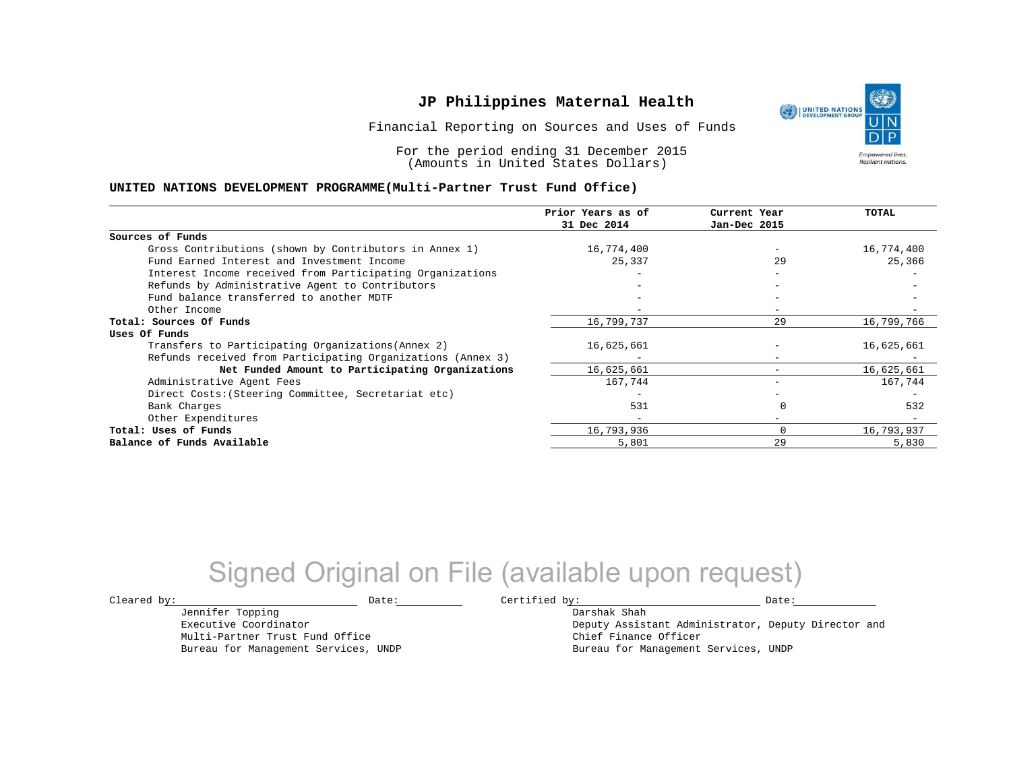Financial Reporting on Sources and Uses of Funds

For the period ending 31 December 2015 (Amounts in United States Dollars)

#### **UNITED NATIONS DEVELOPMENT PROGRAMME(Multi-Partner Trust Fund Office)**

|                                                             | Prior Years as of<br>31 Dec 2014 | Current Year<br>Jan-Dec 2015 | TOTAL      |
|-------------------------------------------------------------|----------------------------------|------------------------------|------------|
|                                                             |                                  |                              |            |
| Sources of Funds                                            |                                  |                              |            |
| Gross Contributions (shown by Contributors in Annex 1)      | 16,774,400                       |                              | 16,774,400 |
| Fund Earned Interest and Investment Income                  | 25,337                           | 29                           | 25,366     |
| Interest Income received from Participating Organizations   |                                  | $-$                          |            |
| Refunds by Administrative Agent to Contributors             |                                  | $\overline{\phantom{m}}$     |            |
| Fund balance transferred to another MDTF                    |                                  |                              |            |
| Other Income                                                |                                  |                              |            |
| Total: Sources Of Funds                                     | 16,799,737                       | 29                           | 16,799,766 |
| Uses Of Funds                                               |                                  |                              |            |
| Transfers to Participating Organizations (Annex 2)          | 16,625,661                       |                              | 16,625,661 |
| Refunds received from Participating Organizations (Annex 3) |                                  | $\overline{\phantom{m}}$     |            |
| Net Funded Amount to Participating Organizations            | 16,625,661                       |                              | 16,625,661 |
| Administrative Agent Fees                                   | 167,744                          |                              | 167,744    |
| Direct Costs: (Steering Committee, Secretariat etc)         |                                  |                              |            |
| Bank Charges                                                | 531                              |                              | 532        |
| Other Expenditures                                          |                                  | $-$                          |            |
| Total: Uses of Funds                                        | 16,793,936                       | $\Omega$                     | 16,793,937 |
| Balance of Funds Available                                  | 5,801                            | 29                           | 5,830      |

## Signed Original on File (available upon request)

Jennifer Topping Executive Coordinator Multi-Partner Trust Fund Office Bureau for Management Services, UNDP

 $\texttt{Cleared by:}\footnotesize \begin{minipage}{0.9\linewidth} \texttt{Date:}\footnotesize \begin{minipage}{0.9\linewidth} \texttt{Date:}\footnotesize \begin{minipage}{0.9\linewidth} \end{minipage} \end{minipage}$ Darshak Shah

Deputy Assistant Administrator, Deputy Director and Chief Finance Officer Bureau for Management Services, UNDP

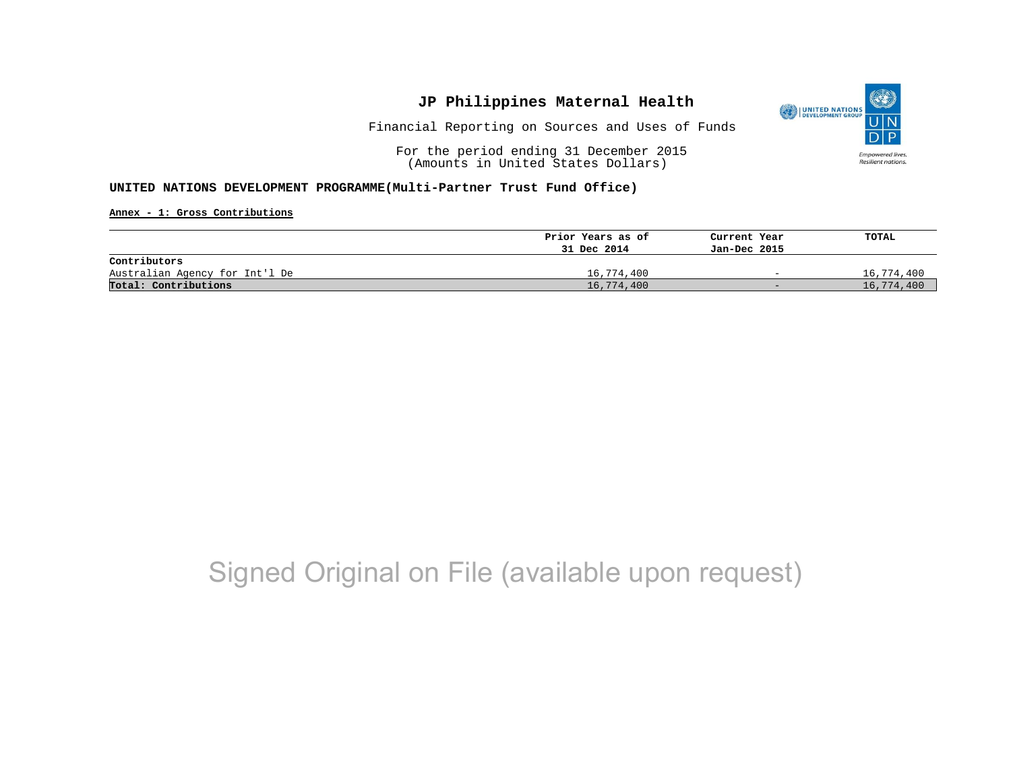

Financial Reporting on Sources and Uses of Funds

For the period ending 31 December 2015 (Amounts in United States Dollars)

#### **UNITED NATIONS DEVELOPMENT PROGRAMME(Multi-Partner Trust Fund Office)**

**Annex - 1: Gross Contributions**

|                                | Prior Years as of | Current Year             | TOTAL      |
|--------------------------------|-------------------|--------------------------|------------|
|                                | 31 Dec 2014       | Jan-Dec 2015             |            |
| Contributors                   |                   |                          |            |
| Australian Agency for Int'l De | 16,774,400        | $\overline{\phantom{0}}$ | 16,774,400 |
| Total: Contributions           | 16,774,400        | $-$                      | 16,774,400 |

## Signed Original on File (available upon request)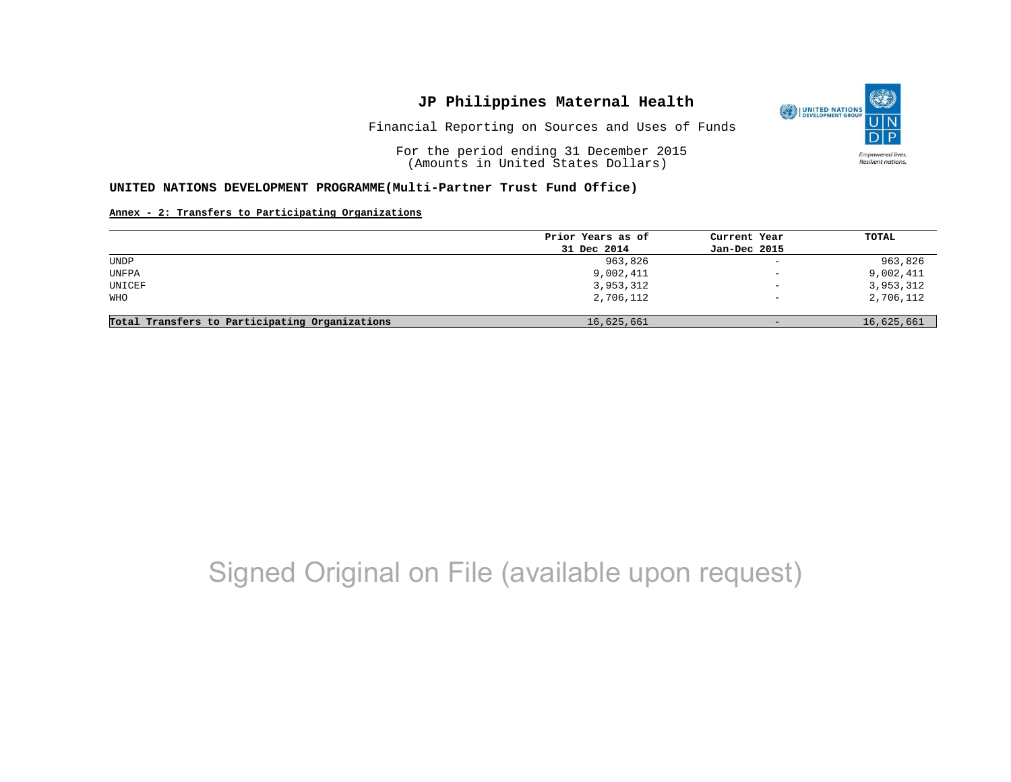Financial Reporting on Sources and Uses of Funds

For the period ending 31 December 2015 (Amounts in United States Dollars)

#### **UNITED NATIONS DEVELOPMENT PROGRAMME(Multi-Partner Trust Fund Office)**

#### **Annex - 2: Transfers to Participating Organizations**

|                                                | Prior Years as of | Current Year             | TOTAL      |
|------------------------------------------------|-------------------|--------------------------|------------|
|                                                | 31 Dec 2014       | Jan-Dec 2015             |            |
| UNDP                                           | 963,826           | $\overline{\phantom{a}}$ | 963,826    |
| UNFPA                                          | 9,002,411         | $\qquad \qquad -$        | 9,002,411  |
| UNICEF                                         | 3,953,312         | $\qquad \qquad -$        | 3,953,312  |
| WHO                                            | 2,706,112         | $\overline{\phantom{0}}$ | 2,706,112  |
|                                                |                   |                          |            |
| Total Transfers to Participating Organizations | 16,625,661        | $-$                      | 16,625,661 |

## Signed Original on File (available upon request)